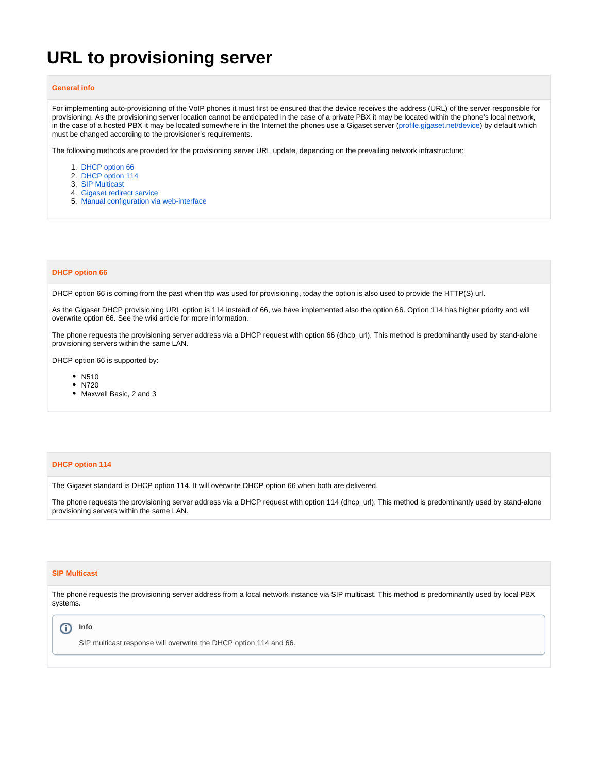# **URL to provisioning server**

## **General info**

For implementing auto-provisioning of the VoIP phones it must first be ensured that the device receives the address (URL) of the server responsible for provisioning. As the provisioning server location cannot be anticipated in the case of a private PBX it may be located within the phone's local network, in the case of a hosted PBX it may be located somewhere in the Internet the phones use a Gigaset server [\(profile.gigaset.net/device](http://profile.gigaset.net/device)) by default which must be changed according to the provisioner's requirements.

The following methods are provided for the provisioning server URL update, depending on the prevailing network infrastructure:

- 1. [DHCP option 66](https://teamwork.gigaset.com/gigawiki/display/GPPPO/DHCP+option+66)
- 2. [DHCP option 114](https://teamwork.gigaset.com/gigawiki/display/GPPPO/DHCP+option+114)
- 3. [SIP Multicast](https://teamwork.gigaset.com/gigawiki/display/GPPPO/SIP+multicast+message)
- 4. [Gigaset redirect service](https://teamwork.gigaset.com/gigawiki/display/GPPPO/Gigaset+Redirect+server)
- 5. [Manual configuration via web-interface](https://teamwork.gigaset.com/gigawiki/pages/viewpage.action?pageId=232980959)

## **DHCP option 66**

DHCP option 66 is coming from the past when tftp was used for provisioning, today the option is also used to provide the HTTP(S) url.

As the Gigaset DHCP provisioning URL option is 114 instead of 66, we have implemented also the option 66. Option 114 has higher priority and will overwrite option 66. See the wiki article for more information.

The phone requests the provisioning server address via a DHCP request with option 66 (dhcp\_url). This method is predominantly used by stand-alone provisioning servers within the same LAN.

DHCP option 66 is supported by:

- N510
- N720
- Maxwell Basic, 2 and 3

# **DHCP option 114**

The Gigaset standard is DHCP option 114. It will overwrite DHCP option 66 when both are delivered.

The phone requests the provisioning server address via a DHCP request with option 114 (dhcp\_url). This method is predominantly used by stand-alone provisioning servers within the same LAN.

## **SIP Multicast**

The phone requests the provisioning server address from a local network instance via SIP multicast. This method is predominantly used by local PBX systems.

#### **Info** O)

SIP multicast response will overwrite the DHCP option 114 and 66.